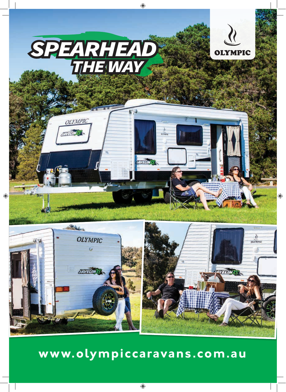

# **www.olympiccaravans.com.au**